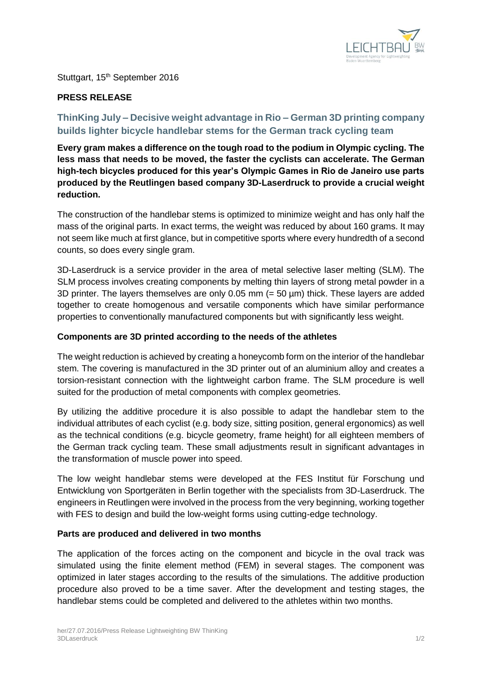

Stuttgart, 15<sup>th</sup> September 2016

# **PRESS RELEASE**

# **ThinKing July – Decisive weight advantage in Rio – German 3D printing company builds lighter bicycle handlebar stems for the German track cycling team**

**Every gram makes a difference on the tough road to the podium in Olympic cycling. The less mass that needs to be moved, the faster the cyclists can accelerate. The German high-tech bicycles produced for this year's Olympic Games in Rio de Janeiro use parts produced by the Reutlingen based company 3D-Laserdruck to provide a crucial weight reduction.** 

The construction of the handlebar stems is optimized to minimize weight and has only half the mass of the original parts. In exact terms, the weight was reduced by about 160 grams. It may not seem like much at first glance, but in competitive sports where every hundredth of a second counts, so does every single gram.

3D-Laserdruck is a service provider in the area of metal selective laser melting (SLM). The SLM process involves creating components by melting thin layers of strong metal powder in a 3D printer. The layers themselves are only 0.05 mm (= 50 µm) thick. These layers are added together to create homogenous and versatile components which have similar performance properties to conventionally manufactured components but with significantly less weight.

## **Components are 3D printed according to the needs of the athletes**

The weight reduction is achieved by creating a honeycomb form on the interior of the handlebar stem. The covering is manufactured in the 3D printer out of an aluminium alloy and creates a torsion-resistant connection with the lightweight carbon frame. The SLM procedure is well suited for the production of metal components with complex geometries.

By utilizing the additive procedure it is also possible to adapt the handlebar stem to the individual attributes of each cyclist (e.g. body size, sitting position, general ergonomics) as well as the technical conditions (e.g. bicycle geometry, frame height) for all eighteen members of the German track cycling team. These small adjustments result in significant advantages in the transformation of muscle power into speed.

The low weight handlebar stems were developed at the FES Institut für Forschung und Entwicklung von Sportgeräten in Berlin together with the specialists from 3D-Laserdruck. The engineers in Reutlingen were involved in the process from the very beginning, working together with FES to design and build the low-weight forms using cutting-edge technology.

#### **Parts are produced and delivered in two months**

The application of the forces acting on the component and bicycle in the oval track was simulated using the finite element method (FEM) in several stages. The component was optimized in later stages according to the results of the simulations. The additive production procedure also proved to be a time saver. After the development and testing stages, the handlebar stems could be completed and delivered to the athletes within two months.